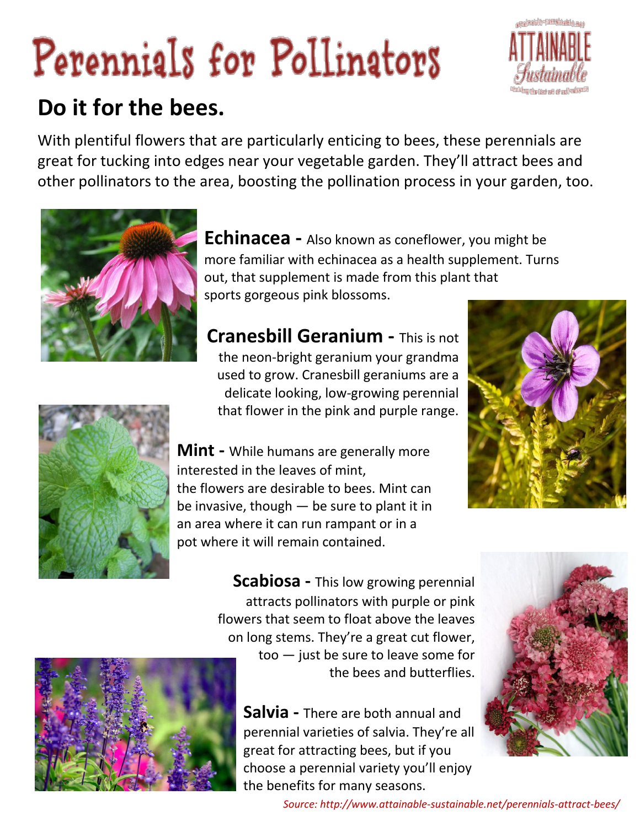## Perennials for Pollinators



## **[Do it for the bees.](http://www.attainable-sustainable.net/wp-content/uploads/2014/09/perennials.jpg)**

With plentiful flowers that are particularly enticing to bees, these perennials are great for tucking into edges near your vegetable garden. They'll attract bees and other pollinators to the area, boosting the pollination process in your garden, too.



**Echinacea -** Also known as coneflower, you might be more familiar with echinacea as a health supplement. Turns out, that supplement is made from this plant that sports gorgeous pink blossoms.

**Cranesbill Geranium -** This is not the neon-bright geranium your grandma used to grow. Cranesbill geraniums are a delicate looking, low-growing perennial that flower in the pink and purple range.







**Scabiosa -** This low growing perennial attracts pollinators with purple or pink flowers that seem to float above the leaves on long stems. They're a great cut flower, too — just be sure to leave some for the bees and butterflies.

**Salvia -** There are both annual and perennial varieties of salvia. They're all great for attracting bees, but if you choose a perennial variety you'll enjoy the benefits for many seasons.





*Source: http://www.attainable-sustainable.net/perennials-attract-bees/*